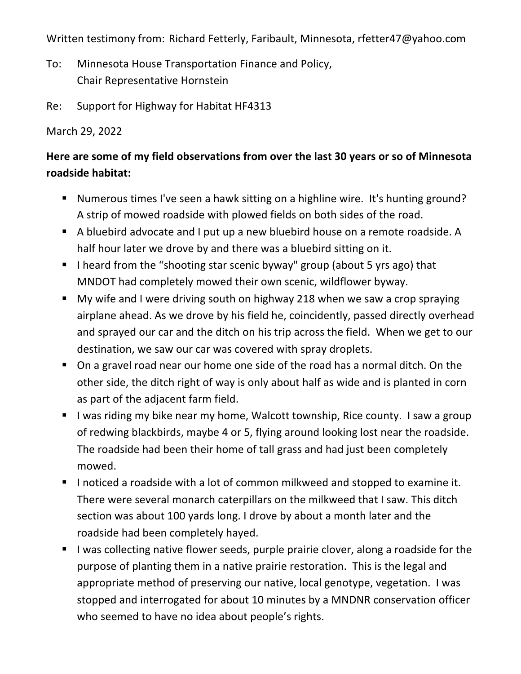Written testimony from: Richard Fetterly, Faribault, Minnesota, rfetter47@yahoo.com

- To: Minnesota House Transportation Finance and Policy, Chair Representative Hornstein
- Re: Support for Highway for Habitat HF4313

March 29, 2022

## **Here are some of my field observations from over the last 30 years or so of Minnesota roadside habitat:**

- ! Numerous times I've seen a hawk sitting on a highline wire. It's hunting ground? A strip of mowed roadside with plowed fields on both sides of the road.
- ! A bluebird advocate and I put up a new bluebird house on a remote roadside. A half hour later we drove by and there was a bluebird sitting on it.
- **I** l heard from the "shooting star scenic byway" group (about 5 yrs ago) that MNDOT had completely mowed their own scenic, wildflower byway.
- ! My wife and I were driving south on highway 218 when we saw a crop spraying airplane ahead. As we drove by his field he, coincidently, passed directly overhead and sprayed our car and the ditch on his trip across the field. When we get to our destination, we saw our car was covered with spray droplets.
- ! On a gravel road near our home one side of the road has a normal ditch. On the other side, the ditch right of way is only about half as wide and is planted in corn as part of the adjacent farm field.
- **I** I was riding my bike near my home, Walcott township, Rice county. I saw a group of redwing blackbirds, maybe 4 or 5, flying around looking lost near the roadside. The roadside had been their home of tall grass and had just been completely mowed.
- **I** I noticed a roadside with a lot of common milkweed and stopped to examine it. There were several monarch caterpillars on the milkweed that I saw. This ditch section was about 100 yards long. I drove by about a month later and the roadside had been completely hayed.
- ! I was collecting native flower seeds, purple prairie clover, along a roadside for the purpose of planting them in a native prairie restoration. This is the legal and appropriate method of preserving our native, local genotype, vegetation. I was stopped and interrogated for about 10 minutes by a MNDNR conservation officer who seemed to have no idea about people's rights.